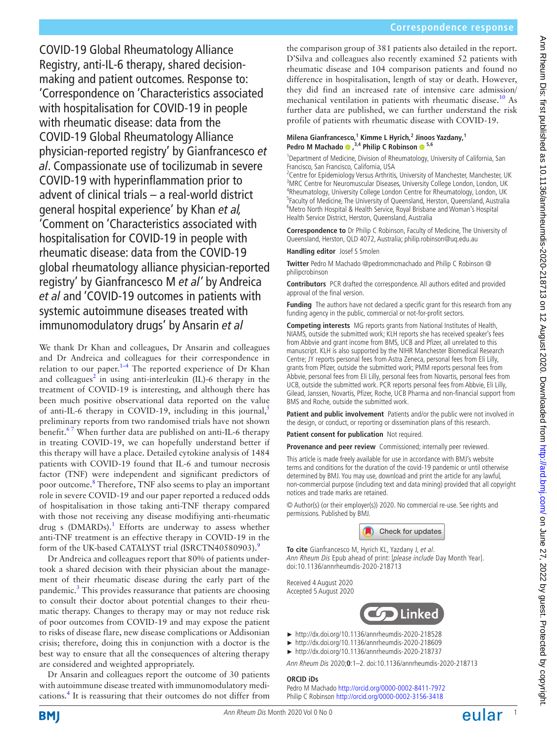the comparison group of 381 patients also detailed in the report. D'Silva and colleagues also recently examined 52 patients with rheumatic disease and 104 comparison patients and found no difference in hospitalisation, length of stay or death. However, they did find an increased rate of intensive care admission/ mechanical ventilation in patients with rheumatic disease.[10](#page-1-8) As further data are published, we can further understand the risk profile of patients with rheumatic disease with COVID-19. **Milena Gianfrancesco,<sup>1</sup> Kimme L Hyrich,2 Jinoos Yazdany,1 Pedro M Machado,3,4 Philip C Robinson 5,6** <sup>1</sup>Department of Medicine, Division of Rheumatology, University of California, San Francisco, San Francisco, California, USA <sup>2</sup> Centre for Epidemiology Versus Arthritis, University of Manchester, Manchester, UK <sup>3</sup>MRC Centre for Neuromuscular Diseases, University College London, London, UK <sup>4</sup>Rheumatology, University College London Centre for Rheumatology, London, UK <sup>5</sup>Faculty of Medicine, The University of Queensland, Herston, Queensland, Australia <sup>6</sup>Metro North Hospital & Health Service, Royal Brisbane and Woman's Hospital Health Service District, Herston, Queensland, Australia **Correspondence to** Dr Philip C Robinson, Faculty of Medicine, The University of Queensland, Herston, QLD 4072, Australia; philip.robinson@uq.edu.au **Handling editor** Josef S Smolen **Twitter** Pedro M Machado [@pedrommcmachado](https://twitter.com/pedrommcmachado) and Philip C Robinson [@](https://twitter.com/philipcrobinson) [philipcrobinson](https://twitter.com/philipcrobinson) **Contributors** PCR drafted the correspondence. All authors edited and provided approval of the final version. **Funding** The authors have not declared a specific grant for this research from any funding agency in the public, commercial or not-for-profit sectors. **Competing interests** MG reports grants from National Institutes of Health,

NIAMS, outside the submitted work; KLH reports she has received speaker's fees from Abbvie and grant income from BMS, UCB and Pfizer, all unrelated to this manuscript. KLH is also supported by the NIHR Manchester Biomedical Research Centre; JY reports personal fees from Astra Zeneca, personal fees from Eli Lilly, grants from Pfizer, outside the submitted work; PMM reports personal fees from Abbvie, personal fees from Eli Lilly, personal fees from Novartis, personal fees from UCB, outside the submitted work. PCR reports personal fees from Abbvie, Eli Lilly, Gilead, Janssen, Novartis, Pfizer, Roche, UCB Pharma and non-financial support from BMS and Roche, outside the submitted work.

**Patient and public involvement** Patients and/or the public were not involved in the design, or conduct, or reporting or dissemination plans of this research.

**Patient consent for publication** Not required.

**Provenance and peer review** Commissioned; internally peer reviewed.

This article is made freely available for use in accordance with BMJ's website terms and conditions for the duration of the covid-19 pandemic or until otherwise determined by BMJ. You may use, download and print the article for any lawful, non-commercial purpose (including text and data mining) provided that all copyright notices and trade marks are retained.

© Author(s) (or their employer(s)) 2020. No commercial re-use. See rights and permissions. Published by BMJ.



**To cite** Gianfrancesco M, Hyrich KL, Yazdany J, et al. Ann Rheum Dis Epub ahead of print: [please include Day Month Year]. doi:10.1136/annrheumdis-2020-218713

Received 4 August 2020 Accepted 5 August 2020



- ► <http://dx.doi.org/10.1136/annrheumdis-2020-218528>
- ► [http://dx.doi.org/10.1136/annrheumdis-2020-218609](http://dx.doi.org/10.1136/annrheumdis-2020-218609 )
- ► <http://dx.doi.org/10.1136/annrheumdis-2020-218737>

Ann Rheum Dis 2020;**0**:1–2. doi:10.1136/annrheumdis-2020-218713

## **ORCID iDs**

## Pedro M Machado <http://orcid.org/0000-0002-8411-7972> Philip C Robinson <http://orcid.org/0000-0002-3156-3418>

COVID-19 Global Rheumatology Alliance Registry, anti-IL-6 therapy, shared decisionmaking and patient outcomes. Response to: 'Correspondence on 'Characteristics associated with hospitalisation for COVID-19 in people with rheumatic disease: data from the COVID-19 Global Rheumatology Alliance physician-reported registry' by Gianfrancesco *et al*. Compassionate use of tocilizumab in severe COVID-19 with hyperinflammation prior to advent of clinical trials – a real-world district general hospital experience' by Khan *et al,* 'Comment on 'Characteristics associated with hospitalisation for COVID-19 in people with rheumatic disease: data from the COVID-19 global rheumatology alliance physician-reported registry' by Gianfrancesco M *et al'* by Andreica *et al* and 'COVID-19 outcomes in patients with systemic autoimmune diseases treated with immunomodulatory drugs' by Ansarin *et al* We thank Dr Khan and colleagues, Dr Ansarin and colleagues

and Dr Andreica and colleagues for their correspondence in relation to our paper. $1-4$  The reported experience of Dr Khan and colleagues<sup>2</sup> in using anti-interleukin (IL)-6 therapy in the treatment of COVID-19 is interesting, and although there has been much positive observational data reported on the value of anti-IL-6 therapy in COVID-19, including in this journal,<sup>5</sup> preliminary reports from two randomised trials have not shown benefit.<sup>67</sup> When further data are published on anti-IL-6 therapy in treating COVID-19, we can hopefully understand better if this therapy will have a place. Detailed cytokine analysis of 1484 patients with COVID-19 found that IL-6 and tumour necrosis factor (TNF) were independent and significant predictors of poor outcome.<sup>[8](#page-1-4)</sup> Therefore, TNF also seems to play an important role in severe COVID-19 and our paper reported a reduced odds of hospitalisation in those taking anti-TNF therapy compared with those not receiving any disease modifiying anti-rheumatic drug s (DMARDs).<sup>[1](#page-1-0)</sup> Efforts are underway to assess whether anti-TNF treatment is an effective therapy in COVID-19 in the form of the UK-based CATALYST trial (ISRCTN40580903).<sup>9</sup>

Dr Andreica and colleagues report that 80% of patients undertook a shared decision with their physician about the management of their rheumatic disease during the early part of the pandemic.<sup>[3](#page-1-6)</sup> This provides reassurance that patients are choosing to consult their doctor about potential changes to their rheumatic therapy. Changes to therapy may or may not reduce risk of poor outcomes from COVID-19 and may expose the patient to risks of disease flare, new disease complications or Addisonian crisis; therefore, doing this in conjunction with a doctor is the best way to ensure that all the consequences of altering therapy are considered and weighted appropriately.

Dr Ansarin and colleagues report the outcome of 30 patients with autoimmune disease treated with immunomodulatory medi-cations.<sup>[4](#page-1-7)</sup> It is reassuring that their outcomes do not differ from Ann Rheum Dis: first published as 10.1136/annheumdis-2020-218713 on 12 August 2020. Downloaded from http://ard.bmj.com/ on June 27, 2022 by guest. Protected by copyright Ann Pheum Dis: first published as 10.1136/annrheumdis-2020-218713 on 12 August 2020. Downloaded from http://ard.bm/ Ann Ann Copyright. Protected by copyright.